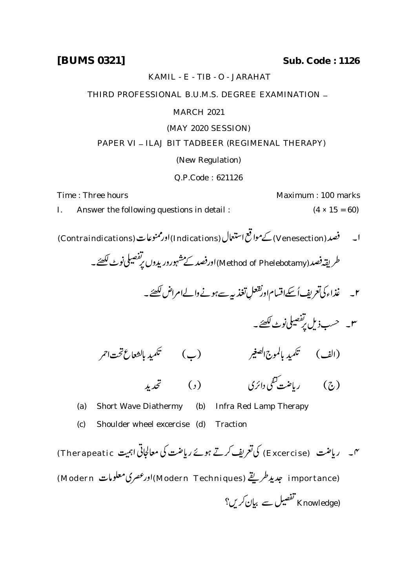**[BUMS 0321] Sub. Code : 1126**

KAMIL - E - TIB - O - JARAHAT

THIRD PROFESSIONAL B.U.M.S. DEGREE EXAMINATION \_

# MARCH 2021

### (MAY 2020 SESSION)

# PAPER VI - ILAJ BIT TADBEER (REGIMENAL THERAPY)

# (New Regulation)

#### Q.P.Code : 621126

Time : Three hours **Maximum : 100 marks** Maximum : 100 marks

- I. Answer the following questions in detail :  $(4 \times 15 = 60)$
- ا۔ فصد (Venesection) کےمواقع استعال (Indications) اورممنوعات (Contraindications)

طریقہ فصد (Method of Phelebotamy)اورفصد کے مشہورور یدوں پر تفصیلی نوٹ لکھئے۔

- .<br>غذاء كى تعريف اُسكےاقسام اورنقعلِ ۲۔ غذاء کی تعریف اُسکےاقسام اور تقعلِ تغذیہ سے ہونے والےامراض لکھئے۔
	- ۳۔ حسب¿یل پ<sup>ر مص</sup>یلی نوٹ لکھئے۔

 $\ddot{\cdot}$  $\overline{1}$ 

 $\ddot{\cdot}$ l مبد (ب) تكميد بالشعاع تحت1ثمر .<br>(الف ) تكميد بالموج الصغير

 $\lambda$  )  $\ddot{z}$  ( )

ئى 

برده

سيبو

(a) Short Wave Diathermy (b) Infra Red Lamp Therapy

- (c) Shoulder wheel excercise (d) Traction
- س پر راضت (Excercise) کی تعریف کرتے ہوئے رباضت کی معالجاتی اہمیت Therapeatic) (importance) جديد طريقے (Modern Techniques) اورعصری معلومات Modern) (Knowledge) تفصیل سے بیان کریں؟